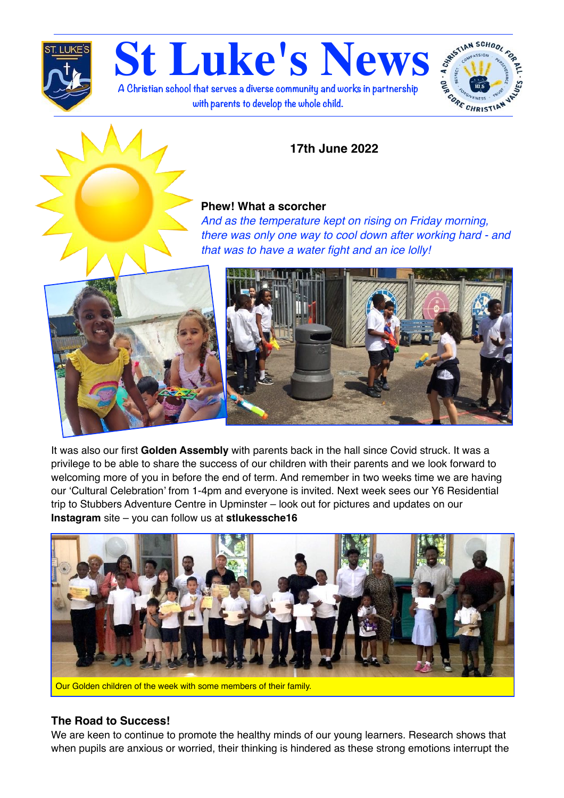

**St Luke's News A Christian school that serves a diverse community and works in partnership with parents to develop the whole child.**



# **17th June 2022**

## **Phew! What a scorcher**

*And as the temperature kept on rising on Friday morning, there was only one way to cool down after working hard - and that was to have a water fight and an ice lolly!*





It was also our first **Golden Assembly** with parents back in the hall since Covid struck. It was a privilege to be able to share the success of our children with their parents and we look forward to welcoming more of you in before the end of term. And remember in two weeks time we are having our 'Cultural Celebration' from 1-4pm and everyone is invited. Next week sees our Y6 Residential trip to Stubbers Adventure Centre in Upminster – look out for pictures and updates on our **Instagram** site – you can follow us at **stlukessche16**



Our Golden children of the week with some members of their family.

## **The Road to Success!**

We are keen to continue to promote the healthy minds of our young learners. Research shows that when pupils are anxious or worried, their thinking is hindered as these strong emotions interrupt the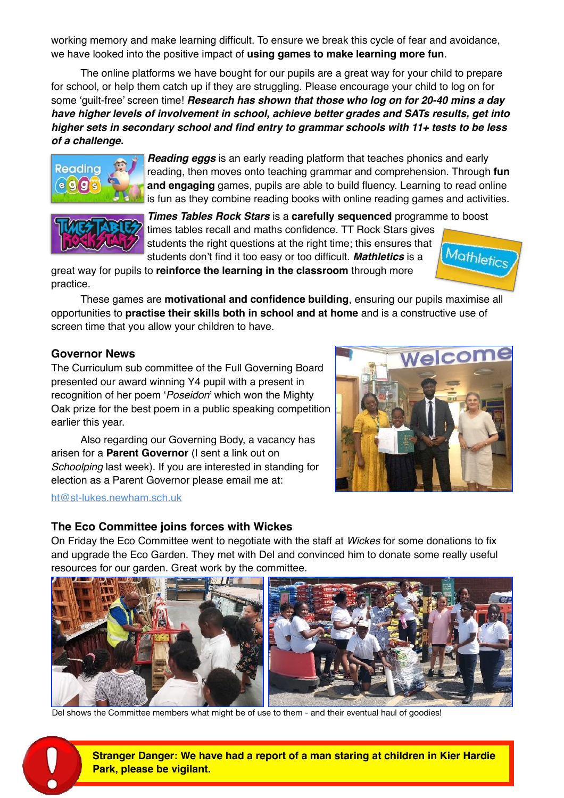working memory and make learning difficult. To ensure we break this cycle of fear and avoidance, we have looked into the positive impact of **using games to make learning more fun**.

The online platforms we have bought for our pupils are a great way for your child to prepare for school, or help them catch up if they are struggling. Please encourage your child to log on for some 'guilt-free' screen time! *Research has shown that those who log on for 20-40 mins a day have higher levels of involvement in school, achieve better grades and SATs results, get into higher sets in secondary school and find entry to grammar schools with 11+ tests to be less of a challenge.*



*Reading eggs* is an early reading platform that teaches phonics and early reading, then moves onto teaching grammar and comprehension. Through **fun and engaging** games, pupils are able to build fluency. Learning to read online is fun as they combine reading books with online reading games and activities.



*Times Tables Rock Stars* is a **carefully sequenced** programme to boost times tables recall and maths confidence. TT Rock Stars gives students the right questions at the right time; this ensures that Mathletics students don't find it too easy or too difficult. *Mathletics* is a

great way for pupils to **reinforce the learning in the classroom** through more practice.

These games are **motivational and confidence building**, ensuring our pupils maximise all opportunities to **practise their skills both in school and at home** and is a constructive use of screen time that you allow your children to have.

#### **Governor News**

The Curriculum sub committee of the Full Governing Board presented our award winning Y4 pupil with a present in recognition of her poem '*Poseidon*' which won the Mighty Oak prize for the best poem in a public speaking competition earlier this year.

Also regarding our Governing Body, a vacancy has arisen for a **Parent Governor** (I sent a link out on *Schoolping* last week). If you are interested in standing for election as a Parent Governor please email me at:

#### [ht@st-lukes.newham.sch.uk](mailto:ht@st-lukes.newham.sch.uk)



#### **The Eco Committee joins forces with Wickes**

On Friday the Eco Committee went to negotiate with the staff at *Wickes* for some donations to fix and upgrade the Eco Garden. They met with Del and convinced him to donate some really useful resources for our garden. Great work by the committee.



Del shows the Committee members what might be of use to them - and their eventual haul of goodies!

**Stranger Danger: We have had a report of a man staring at children in Kier Hardie Park, please be vigilant.**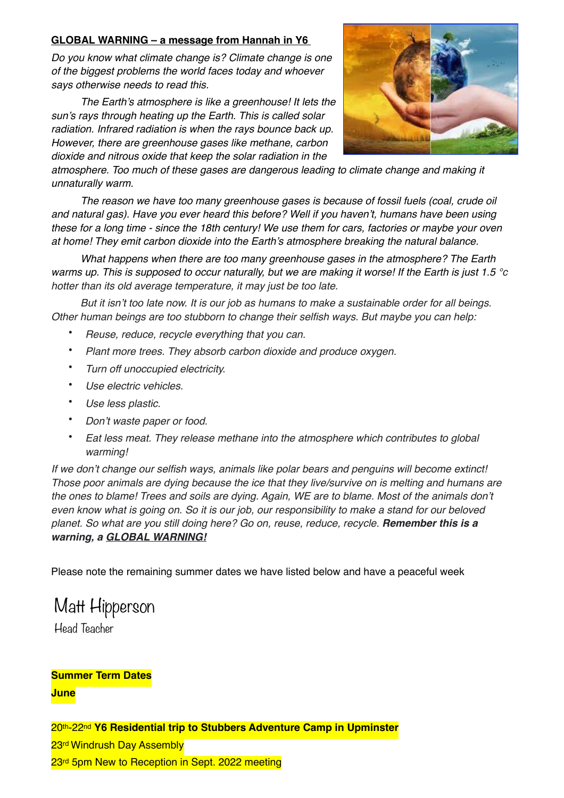#### **GLOBAL WARNING – a message from Hannah in Y6**

*Do you know what climate change is? Climate change is one of the biggest problems the world faces today and whoever says otherwise needs to read this.*

*The Earth's atmosphere is like a greenhouse! It lets the sun's rays through heating up the Earth. This is called solar radiation. Infrared radiation is when the rays bounce back up. However, there are greenhouse gases like methane, carbon dioxide and nitrous oxide that keep the solar radiation in the* 



*atmosphere. Too much of these gases are dangerous leading to climate change and making it unnaturally warm.*

*The reason we have too many greenhouse gases is because of fossil fuels (coal, crude oil and natural gas). Have you ever heard this before? Well if you haven't, humans have been using these for a long time - since the 18th century! We use them for cars, factories or maybe your oven at home! They emit carbon dioxide into the Earth's atmosphere breaking the natural balance.*

*What happens when there are too many greenhouse gases in the atmosphere? The Earth warms up. This is supposed to occur naturally, but we are making it worse! If the Earth is just 1.5 °c hotter than its old average temperature, it may just be too late.*

*But it isn't too late now. It is our job as humans to make a sustainable order for all beings. Other human beings are too stubborn to change their selfish ways. But maybe you can help:*

- *Reuse, reduce, recycle everything that you can.*
- *Plant more trees. They absorb carbon dioxide and produce oxygen.*
- *Turn off unoccupied electricity.*
- *Use electric vehicles.*
- *Use less plastic.*
- *Don't waste paper or food.*
- *Eat less meat. They release methane into the atmosphere which contributes to global warming!*

*If we don't change our selfish ways, animals like polar bears and penguins will become extinct! Those poor animals are dying because the ice that they live/survive on is melting and humans are the ones to blame! Trees and soils are dying. Again, WE are to blame. Most of the animals don't even know what is going on. So it is our job, our responsibility to make a stand for our beloved planet. So what are you still doing here? Go on, reuse, reduce, recycle. Remember this is a warning, a GLOBAL WARNING!*

Please note the remaining summer dates we have listed below and have a peaceful week

# Matt Hipperson

Head Teacher

# **Summer Term Dates**

**June**

20th-22nd **Y6 Residential trip to Stubbers Adventure Camp in Upminster** 23<sup>rd</sup> Windrush Day Assembly 23<sup>rd</sup> 5pm New to Reception in Sept. 2022 meeting